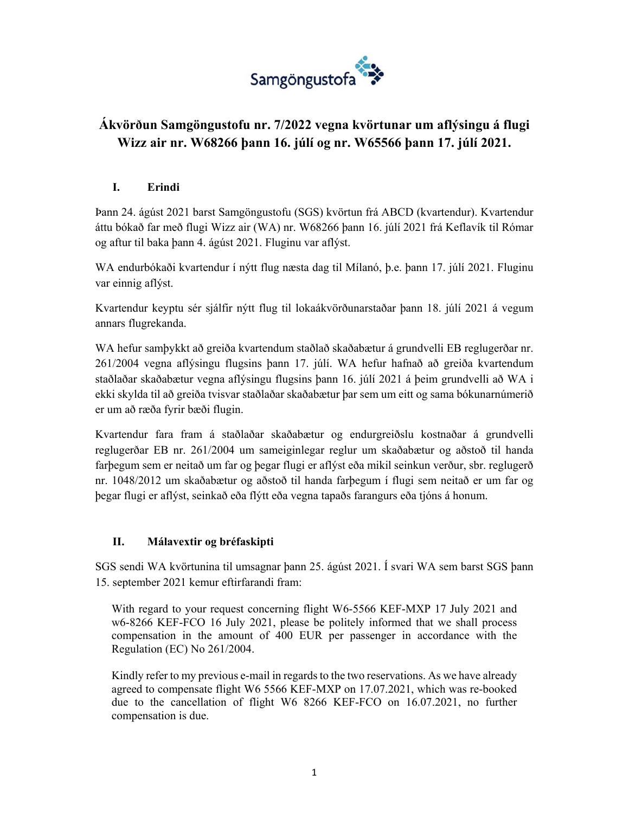

# **Ákvörðun Samgöngustofu nr. 7/2022 vegna kvörtunar um aflýsingu á flugi Wizz air nr. W68266 þann 16. júlí og nr. W65566 þann 17. júlí 2021.**

### **I. Erindi**

Þann 24. ágúst 2021 barst Samgöngustofu (SGS) kvörtun frá ABCD (kvartendur). Kvartendur áttu bókað far með flugi Wizz air (WA) nr. W68266 þann 16. júlí 2021 frá Keflavík til Rómar og aftur til baka þann 4. ágúst 2021. Fluginu var aflýst.

WA endurbókaði kvartendur í nýtt flug næsta dag til Mílanó, þ.e. þann 17. júlí 2021. Fluginu var einnig aflýst.

Kvartendur keyptu sér sjálfir nýtt flug til lokaákvörðunarstaðar þann 18. júlí 2021 á vegum annars flugrekanda.

WA hefur samþykkt að greiða kvartendum staðlað skaðabætur á grundvelli EB reglugerðar nr. 261/2004 vegna aflýsingu flugsins þann 17. júlí. WA hefur hafnað að greiða kvartendum staðlaðar skaðabætur vegna aflýsingu flugsins þann 16. júlí 2021 á þeim grundvelli að WA i ekki skylda til að greiða tvisvar staðlaðar skaðabætur þar sem um eitt og sama bókunarnúmerið er um að ræða fyrir bæði flugin.

Kvartendur fara fram á staðlaðar skaðabætur og endurgreiðslu kostnaðar á grundvelli reglugerðar EB nr. 261/2004 um sameiginlegar reglur um skaðabætur og aðstoð til handa farþegum sem er neitað um far og þegar flugi er aflýst eða mikil seinkun verður, sbr. reglugerð nr. 1048/2012 um skaðabætur og aðstoð til handa farþegum í flugi sem neitað er um far og þegar flugi er aflýst, seinkað eða flýtt eða vegna tapaðs farangurs eða tjóns á honum.

#### **II. Málavextir og bréfaskipti**

SGS sendi WA kvörtunina til umsagnar þann 25. ágúst 2021. Í svari WA sem barst SGS þann 15. september 2021 kemur eftirfarandi fram:

With regard to your request concerning flight W6-5566 KEF-MXP 17 July 2021 and w6-8266 KEF-FCO 16 July 2021, please be politely informed that we shall process compensation in the amount of 400 EUR per passenger in accordance with the Regulation (EC) No 261/2004.

Kindly refer to my previous e-mail in regards to the two reservations. As we have already agreed to compensate flight W6 5566 KEF-MXP on 17.07.2021, which was re-booked due to the cancellation of flight W6 8266 KEF-FCO on 16.07.2021, no further compensation is due.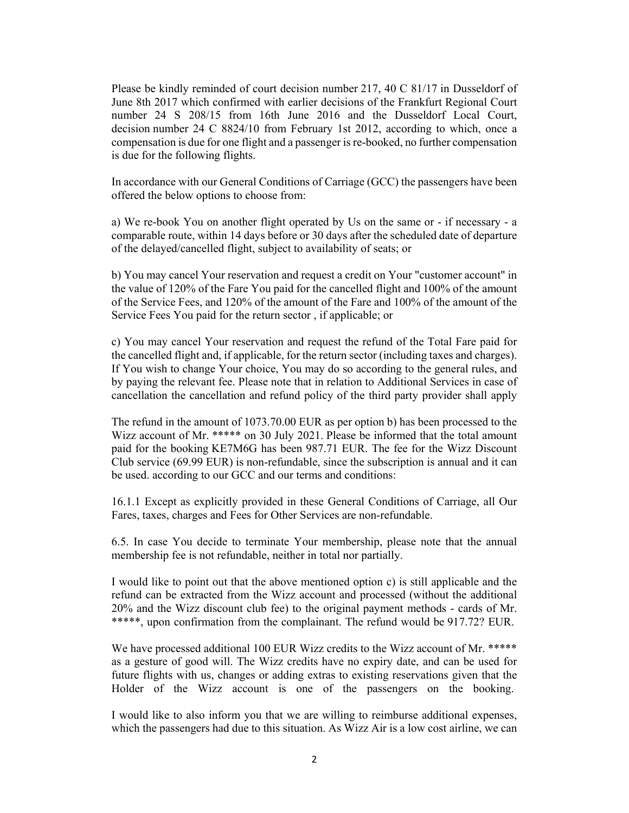Please be kindly reminded of court decision number 217, 40 C 81/17 in Dusseldorf of June 8th 2017 which confirmed with earlier decisions of the Frankfurt Regional Court number 24 S 208/15 from 16th June 2016 and the Dusseldorf Local Court, decision number 24 C 8824/10 from February 1st 2012, according to which, once a compensation is due for one flight and a passenger is re-booked, no further compensation is due for the following flights.

In accordance with our General Conditions of Carriage (GCC) the passengers have been offered the below options to choose from:

a) We re-book You on another flight operated by Us on the same or - if necessary - a comparable route, within 14 days before or 30 days after the scheduled date of departure of the delayed/cancelled flight, subject to availability of seats; or

b) You may cancel Your reservation and request a credit on Your "customer account" in the value of 120% of the Fare You paid for the cancelled flight and 100% of the amount of the Service Fees, and 120% of the amount of the Fare and 100% of the amount of the Service Fees You paid for the return sector , if applicable; or

c) You may cancel Your reservation and request the refund of the Total Fare paid for the cancelled flight and, if applicable, for the return sector (including taxes and charges). If You wish to change Your choice, You may do so according to the general rules, and by paying the relevant fee. Please note that in relation to Additional Services in case of cancellation the cancellation and refund policy of the third party provider shall apply

The refund in the amount of 1073.70.00 EUR as per option b) has been processed to the Wizz account of Mr. \*\*\*\*\* on 30 July 2021. Please be informed that the total amount paid for the booking KE7M6G has been 987.71 EUR. The fee for the Wizz Discount Club service (69.99 EUR) is non-refundable, since the subscription is annual and it can be used. according to our GCC and our terms and conditions:

16.1.1 Except as explicitly provided in these General Conditions of Carriage, all Our Fares, taxes, charges and Fees for Other Services are non-refundable.

6.5. In case You decide to terminate Your membership, please note that the annual membership fee is not refundable, neither in total nor partially.

I would like to point out that the above mentioned option c) is still applicable and the refund can be extracted from the Wizz account and processed (without the additional 20% and the Wizz discount club fee) to the original payment methods - cards of Mr. \*\*\*\*\*, upon confirmation from the complainant. The refund would be 917.72? EUR.

We have processed additional 100 EUR Wizz credits to the Wizz account of Mr. \*\*\*\*\* as a gesture of good will. The Wizz credits have no expiry date, and can be used for future flights with us, changes or adding extras to existing reservations given that the Holder of the Wizz account is one of the passengers on the booking.

I would like to also inform you that we are willing to reimburse additional expenses, which the passengers had due to this situation. As Wizz Air is a low cost airline, we can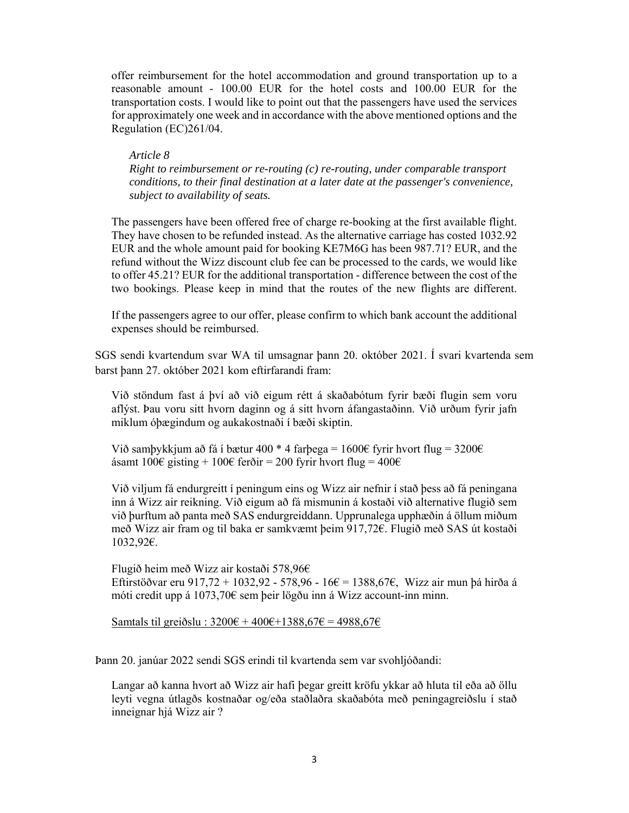offer reimbursement for the hotel accommodation and ground transportation up to a reasonable amount - 100.00 EUR for the hotel costs and 100.00 EUR for the transportation costs. I would like to point out that the passengers have used the services for approximately one week and in accordance with the above mentioned options and the Regulation (EC)261/04.

 *Article 8 Right to reimbursement or re-routing (c) re-routing, under comparable transport conditions, to their final destination at a later date at the passenger's convenience, subject to availability of seats.* 

The passengers have been offered free of charge re-booking at the first available flight. They have chosen to be refunded instead. As the alternative carriage has costed 1032.92 EUR and the whole amount paid for booking KE7M6G has been 987.71? EUR, and the refund without the Wizz discount club fee can be processed to the cards, we would like to offer 45.21? EUR for the additional transportation - difference between the cost of the two bookings. Please keep in mind that the routes of the new flights are different.

If the passengers agree to our offer, please confirm to which bank account the additional expenses should be reimbursed.

SGS sendi kvartendum svar WA til umsagnar þann 20. október 2021. Í svari kvartenda sem barst þann 27. október 2021 kom eftirfarandi fram:

Við stöndum fast á því að við eigum rétt á skaðabótum fyrir bæði flugin sem voru aflýst. Þau voru sitt hvorn daginn og á sitt hvorn áfangastaðinn. Við urðum fyrir jafn miklum óþægindum og aukakostnaði í bæði skiptin.

Við samþykkjum að fá í bætur 400 \* 4 farþega = 1600€ fyrir hvort flug = 3200€ ásamt 100€ gisting + 100€ ferðir = 200 fyrir hvort flug = 400€

Við viljum fá endurgreitt í peningum eins og Wizz air nefnir í stað þess að fá peningana inn á Wizz air reikning. Við eigum að fá mismunin á kostaði við alternative flugið sem við þurftum að panta með SAS endurgreiddann. Upprunalega upphæðin á öllum miðum með Wizz air fram og til baka er samkvæmt þeim 917,72€. Flugið með SAS út kostaði 1032,92€.

Flugið heim með Wizz air kostaði 578,96€ Eftirstöðvar eru 917,72 + 1032,92 - 578,96 - 16€ = 1388,67€, Wizz air mun þá hirða á móti credit upp á 1073,70€ sem þeir lögðu inn á Wizz account-inn minn.

Samtals til greiðslu :  $3200€ + 400€ + 1388,67€ = 4988,67€$ 

Þann 20. janúar 2022 sendi SGS erindi til kvartenda sem var svohljóðandi:

Langar að kanna hvort að Wizz air hafi þegar greitt kröfu ykkar að hluta til eða að öllu leyti vegna útlagðs kostnaðar og/eða staðlaðra skaðabóta með peningagreiðslu í stað inneignar hjá Wizz air ?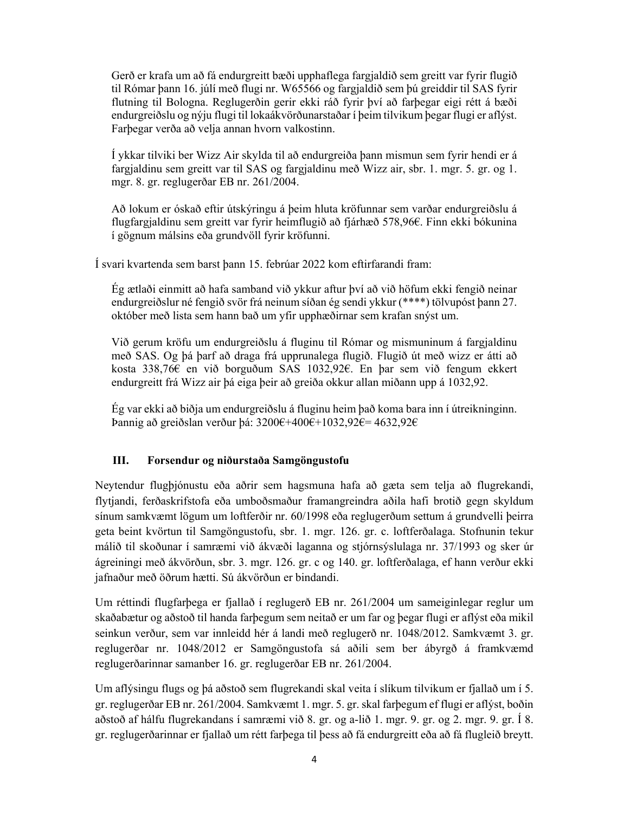Gerð er krafa um að fá endurgreitt bæði upphaflega fargjaldið sem greitt var fyrir flugið til Rómar þann 16. júlí með flugi nr. W65566 og fargjaldið sem þú greiddir til SAS fyrir flutning til Bologna. Reglugerðin gerir ekki ráð fyrir því að farþegar eigi rétt á bæði endurgreiðslu og nýju flugi til lokaákvörðunarstaðar í þeim tilvikum þegar flugi er aflýst. Farþegar verða að velja annan hvorn valkostinn.

Í ykkar tilviki ber Wizz Air skylda til að endurgreiða þann mismun sem fyrir hendi er á fargjaldinu sem greitt var til SAS og fargjaldinu með Wizz air, sbr. 1. mgr. 5. gr. og 1. mgr. 8. gr. reglugerðar EB nr. 261/2004.

Að lokum er óskað eftir útskýringu á þeim hluta kröfunnar sem varðar endurgreiðslu á flugfargjaldinu sem greitt var fyrir heimflugið að fjárhæð 578,96€. Finn ekki bókunina í gögnum málsins eða grundvöll fyrir kröfunni.

Í svari kvartenda sem barst þann 15. febrúar 2022 kom eftirfarandi fram:

Ég ætlaði einmitt að hafa samband við ykkur aftur því að við höfum ekki fengið neinar endurgreiðslur né fengið svör frá neinum síðan ég sendi ykkur (\*\*\*\*) tölvupóst þann 27. október með lista sem hann bað um yfir upphæðirnar sem krafan snýst um.

Við gerum kröfu um endurgreiðslu á fluginu til Rómar og mismuninum á fargjaldinu með SAS. Og þá þarf að draga frá upprunalega flugið. Flugið út með wizz er átti að kosta 338,76€ en við borguðum SAS 1032,92€. En þar sem við fengum ekkert endurgreitt frá Wizz air þá eiga þeir að greiða okkur allan miðann upp á 1032,92.

Ég var ekki að biðja um endurgreiðslu á fluginu heim það koma bara inn í útreikninginn. Þannig að greiðslan verður þá: 3200€+400€+1032,92€= 4632,92€

#### **III. Forsendur og niðurstaða Samgöngustofu**

Neytendur flugþjónustu eða aðrir sem hagsmuna hafa að gæta sem telja að flugrekandi, flytjandi, ferðaskrifstofa eða umboðsmaður framangreindra aðila hafi brotið gegn skyldum sínum samkvæmt lögum um loftferðir nr. 60/1998 eða reglugerðum settum á grundvelli þeirra geta beint kvörtun til Samgöngustofu, sbr. 1. mgr. 126. gr. c. loftferðalaga. Stofnunin tekur málið til skoðunar í samræmi við ákvæði laganna og stjórnsýslulaga nr. 37/1993 og sker úr ágreiningi með ákvörðun, sbr. 3. mgr. 126. gr. c og 140. gr. loftferðalaga, ef hann verður ekki jafnaður með öðrum hætti. Sú ákvörðun er bindandi.

Um réttindi flugfarþega er fjallað í reglugerð EB nr. 261/2004 um sameiginlegar reglur um skaðabætur og aðstoð til handa farþegum sem neitað er um far og þegar flugi er aflýst eða mikil seinkun verður, sem var innleidd hér á landi með reglugerð nr. 1048/2012. Samkvæmt 3. gr. reglugerðar nr. 1048/2012 er Samgöngustofa sá aðili sem ber ábyrgð á framkvæmd reglugerðarinnar samanber 16. gr. reglugerðar EB nr. 261/2004.

Um aflýsingu flugs og þá aðstoð sem flugrekandi skal veita í slíkum tilvikum er fjallað um í 5. gr. reglugerðar EB nr. 261/2004. Samkvæmt 1. mgr. 5. gr. skal farþegum ef flugi er aflýst, boðin aðstoð af hálfu flugrekandans í samræmi við 8. gr. og a-lið 1. mgr. 9. gr. og 2. mgr. 9. gr. Í 8. gr. reglugerðarinnar er fjallað um rétt farþega til þess að fá endurgreitt eða að fá flugleið breytt.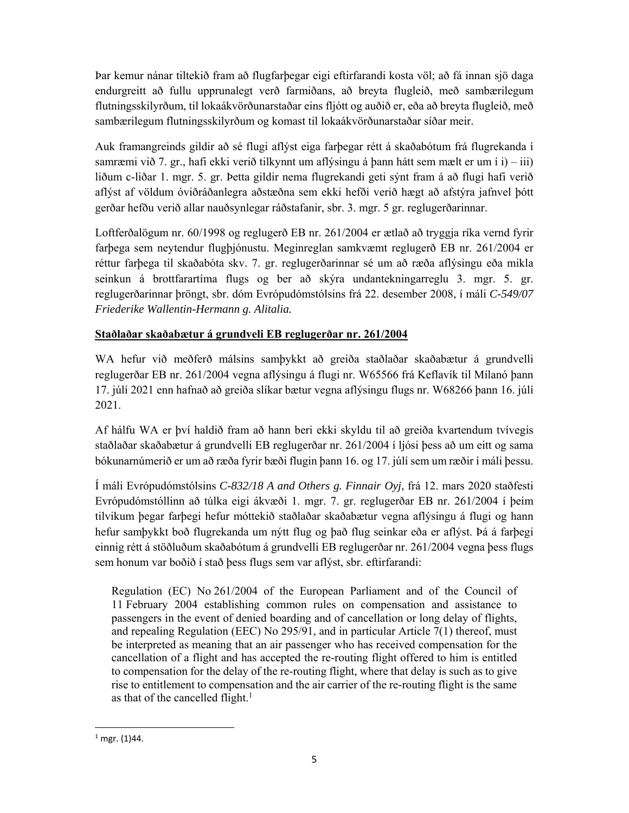Þar kemur nánar tiltekið fram að flugfarþegar eigi eftirfarandi kosta völ; að fá innan sjö daga endurgreitt að fullu upprunalegt verð farmiðans, að breyta flugleið, með sambærilegum flutningsskilyrðum, til lokaákvörðunarstaðar eins fljótt og auðið er, eða að breyta flugleið, með sambærilegum flutningsskilyrðum og komast til lokaákvörðunarstaðar síðar meir.

Auk framangreinds gildir að sé flugi aflýst eiga farþegar rétt á skaðabótum frá flugrekanda í samræmi við 7. gr., hafi ekki verið tilkynnt um aflýsingu á þann hátt sem mælt er um í i) – iii) liðum c-liðar 1. mgr. 5. gr. Þetta gildir nema flugrekandi geti sýnt fram á að flugi hafi verið aflýst af völdum óviðráðanlegra aðstæðna sem ekki hefði verið hægt að afstýra jafnvel þótt gerðar hefðu verið allar nauðsynlegar ráðstafanir, sbr. 3. mgr. 5 gr. reglugerðarinnar.

Loftferðalögum nr. 60/1998 og reglugerð EB nr. 261/2004 er ætlað að tryggja ríka vernd fyrir farþega sem neytendur flugþjónustu. Meginreglan samkvæmt reglugerð EB nr. 261/2004 er réttur farþega til skaðabóta skv. 7. gr. reglugerðarinnar sé um að ræða aflýsingu eða mikla seinkun á brottfarartíma flugs og ber að skýra undantekningarreglu 3. mgr. 5. gr. reglugerðarinnar þröngt, sbr. dóm Evrópudómstólsins frá 22. desember 2008, í máli *C-549/07 Friederike Wallentin-Hermann g. Alitalia.*

## **Staðlaðar skaðabætur á grundveli EB reglugerðar nr. 261/2004**

WA hefur við meðferð málsins samþykkt að greiða staðlaðar skaðabætur á grundvelli reglugerðar EB nr. 261/2004 vegna aflýsingu á flugi nr. W65566 frá Keflavík til Mílanó þann 17. júlí 2021 enn hafnað að greiða slíkar bætur vegna aflýsingu flugs nr. W68266 þann 16. júlí 2021.

Af hálfu WA er því haldið fram að hann beri ekki skyldu til að greiða kvartendum tvívegis staðlaðar skaðabætur á grundvelli EB reglugerðar nr. 261/2004 í ljósi þess að um eitt og sama bókunarnúmerið er um að ræða fyrir bæði flugin þann 16. og 17. júlí sem um ræðir í máli þessu.

Í máli Evrópudómstólsins *C-832/18 A and Others g. Finnair Oyj*, frá 12. mars 2020 staðfesti Evrópudómstóllinn að túlka eigi ákvæði 1. mgr. 7. gr. reglugerðar EB nr. 261/2004 í þeim tilvikum þegar farþegi hefur móttekið staðlaðar skaðabætur vegna aflýsingu á flugi og hann hefur samþykkt boð flugrekanda um nýtt flug og það flug seinkar eða er aflýst. Þá á farþegi einnig rétt á stöðluðum skaðabótum á grundvelli EB reglugerðar nr. 261/2004 vegna þess flugs sem honum var boðið í stað þess flugs sem var aflýst, sbr. eftirfarandi:

Regulation (EC) No 261/2004 of the European Parliament and of the Council of 11 February 2004 establishing common rules on compensation and assistance to passengers in the event of denied boarding and of cancellation or long delay of flights, and repealing Regulation (EEC) No 295/91, and in particular Article 7(1) thereof, must be interpreted as meaning that an air passenger who has received compensation for the cancellation of a flight and has accepted the re-routing flight offered to him is entitled to compensation for the delay of the re-routing flight, where that delay is such as to give rise to entitlement to compensation and the air carrier of the re-routing flight is the same as that of the cancelled flight.<sup>1</sup>

 $<sup>1</sup>$  mgr. (1)44.</sup>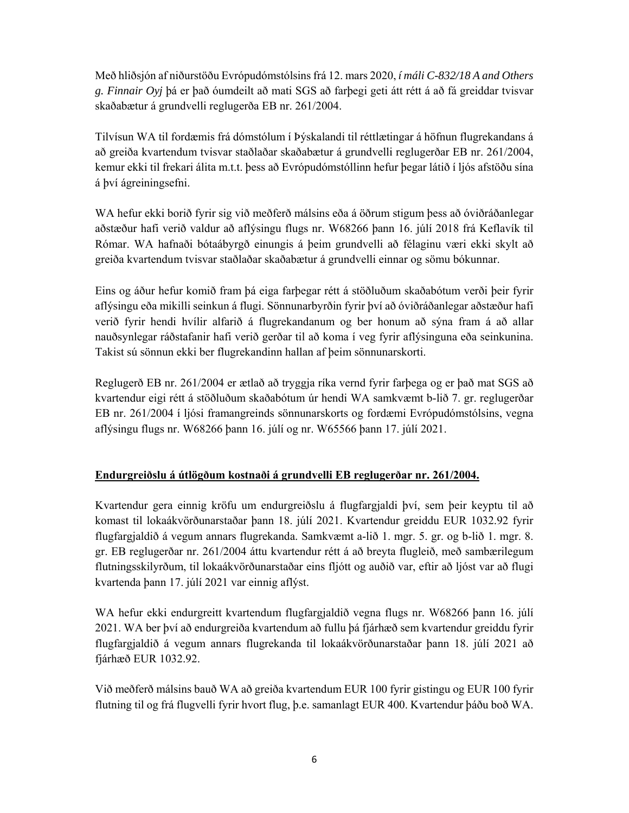Með hliðsjón af niðurstöðu Evrópudómstólsins frá 12. mars 2020, *í máli C-832/18 A and Others g. Finnair Oyj* þá er það óumdeilt að mati SGS að farþegi geti átt rétt á að fá greiddar tvisvar skaðabætur á grundvelli reglugerða EB nr. 261/2004.

Tilvísun WA til fordæmis frá dómstólum í Þýskalandi til réttlætingar á höfnun flugrekandans á að greiða kvartendum tvisvar staðlaðar skaðabætur á grundvelli reglugerðar EB nr. 261/2004, kemur ekki til frekari álita m.t.t. þess að Evrópudómstóllinn hefur þegar látið í ljós afstöðu sína á því ágreiningsefni.

WA hefur ekki borið fyrir sig við meðferð málsins eða á öðrum stigum þess að óviðráðanlegar aðstæður hafi verið valdur að aflýsingu flugs nr. W68266 þann 16. júlí 2018 frá Keflavík til Rómar. WA hafnaði bótaábyrgð einungis á þeim grundvelli að félaginu væri ekki skylt að greiða kvartendum tvisvar staðlaðar skaðabætur á grundvelli einnar og sömu bókunnar.

Eins og áður hefur komið fram þá eiga farþegar rétt á stöðluðum skaðabótum verði þeir fyrir aflýsingu eða mikilli seinkun á flugi. Sönnunarbyrðin fyrir því að óviðráðanlegar aðstæður hafi verið fyrir hendi hvílir alfarið á flugrekandanum og ber honum að sýna fram á að allar nauðsynlegar ráðstafanir hafi verið gerðar til að koma í veg fyrir aflýsinguna eða seinkunina. Takist sú sönnun ekki ber flugrekandinn hallan af þeim sönnunarskorti.

Reglugerð EB nr. 261/2004 er ætlað að tryggja ríka vernd fyrir farþega og er það mat SGS að kvartendur eigi rétt á stöðluðum skaðabótum úr hendi WA samkvæmt b-lið 7. gr. reglugerðar EB nr. 261/2004 í ljósi framangreinds sönnunarskorts og fordæmi Evrópudómstólsins, vegna aflýsingu flugs nr. W68266 þann 16. júlí og nr. W65566 þann 17. júlí 2021.

## **Endurgreiðslu á útlögðum kostnaði á grundvelli EB reglugerðar nr. 261/2004.**

Kvartendur gera einnig kröfu um endurgreiðslu á flugfargjaldi því, sem þeir keyptu til að komast til lokaákvörðunarstaðar þann 18. júlí 2021. Kvartendur greiddu EUR 1032.92 fyrir flugfargjaldið á vegum annars flugrekanda. Samkvæmt a-lið 1. mgr. 5. gr. og b-lið 1. mgr. 8. gr. EB reglugerðar nr. 261/2004 áttu kvartendur rétt á að breyta flugleið, með sambærilegum flutningsskilyrðum, til lokaákvörðunarstaðar eins fljótt og auðið var, eftir að ljóst var að flugi kvartenda þann 17. júlí 2021 var einnig aflýst.

WA hefur ekki endurgreitt kvartendum flugfargjaldið vegna flugs nr. W68266 þann 16. júlí 2021. WA ber því að endurgreiða kvartendum að fullu þá fjárhæð sem kvartendur greiddu fyrir flugfargjaldið á vegum annars flugrekanda til lokaákvörðunarstaðar þann 18. júlí 2021 að fjárhæð EUR 1032.92.

Við meðferð málsins bauð WA að greiða kvartendum EUR 100 fyrir gistingu og EUR 100 fyrir flutning til og frá flugvelli fyrir hvort flug, þ.e. samanlagt EUR 400. Kvartendur þáðu boð WA.